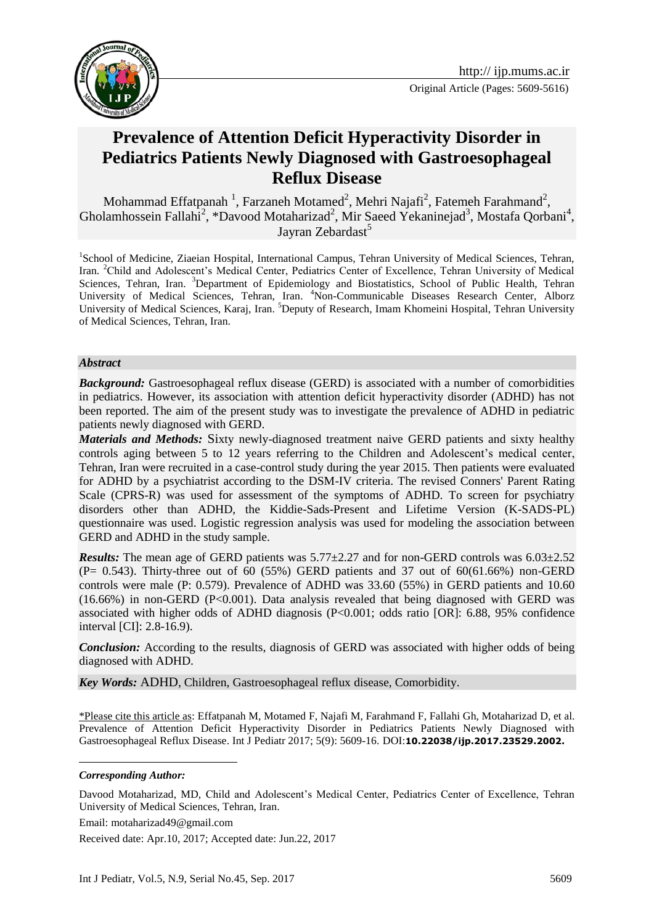



# **Prevalence of Attention Deficit Hyperactivity Disorder in Pediatrics Patients Newly Diagnosed with Gastroesophageal Reflux Disease**

Mohammad Effatpanah<sup>1</sup>, Farzaneh Motamed<sup>2</sup>, Mehri Najafi<sup>2</sup>, F[atemeh Farahmand](https://www.google.com/search?q=fatemeh+farahmand&hl=en-IR&biw=&bih=&gbv=2&sa=X&as_q=&nfpr=&spell=1&ved=0CBEQvwVqFQoTCP_D3s6f2sYCFYVZFAod-gcAxw)<sup>2</sup>, Gholamhossein Fallahi<sup>2</sup>, \*Davood Motaharizad<sup>2</sup>, Mir Saeed Yekaninejad<sup>3</sup>, Mostafa Qorbani<sup>4</sup>, Jayran Zebardast<sup>5</sup>

<sup>1</sup>School of Medicine, Ziaeian Hospital, International Campus, Tehran University of Medical Sciences, Tehran, Iran. <sup>2</sup>Child and Adolescent's Medical Center, Pediatrics Center of Excellence, Tehran University of Medical Sciences, Tehran, Iran. <sup>3</sup>Department of Epidemiology and Biostatistics, School of Public Health, Tehran University of Medical Sciences, Tehran, Iran. <sup>4</sup>Non-Communicable Diseases Research Center, Alborz University of Medical Sciences, Karaj, Iran. <sup>5</sup>Deputy of Research, Imam Khomeini Hospital, Tehran University of Medical Sciences, Tehran, Iran.

#### *Abstract*

*Background:* Gastroesophageal reflux disease (GERD) is associated with a number of comorbidities in pediatrics. However, its association with attention deficit hyperactivity disorder (ADHD) has not been reported. The aim of the present study was to investigate the prevalence of ADHD in pediatric patients newly diagnosed with GERD.

*Materials and Methods:* Sixty newly-diagnosed treatment naive GERD patients and sixty healthy controls aging between 5 to 12 years referring to the Children and Adolescent's medical center, Tehran, Iran were recruited in a case-control study during the year 2015. Then patients were evaluated for ADHD by a psychiatrist according to the DSM-IV criteria. The revised Conners' Parent Rating Scale (CPRS-R) was used for assessment of the symptoms of ADHD. To screen for psychiatry disorders other than ADHD, the Kiddie-Sads-Present and Lifetime Version (K-SADS-PL) questionnaire was used. Logistic regression analysis was used for modeling the association between GERD and ADHD in the study sample.

*Results:* The mean age of GERD patients was 5.77±2.27 and for non-GERD controls was 6.03±2.52  $(P= 0.543)$ . Thirty-three out of 60 (55%) GERD patients and 37 out of 60(61.66%) non-GERD controls were male (P: 0.579). Prevalence of ADHD was 33.60 (55%) in GERD patients and 10.60 (16.66%) in non-GERD (P<0.001). Data analysis revealed that being diagnosed with GERD was associated with higher odds of ADHD diagnosis  $(P<0.001$ ; odds ratio [OR]: 6.88, 95% confidence interval [CI]: 2.8-16.9).

*Conclusion:* According to the results, diagnosis of GERD was associated with higher odds of being diagnosed with ADHD.

*Key Words:* ADHD, Children, Gastroesophageal reflux disease, Comorbidity.

\*Please cite this article as: Effatpanah M, Motamed F, Najafi M, Farahmand F, Fallahi Gh, Motaharizad D, et al. Prevalence of Attention Deficit Hyperactivity Disorder in Pediatrics Patients Newly Diagnosed with Gastroesophageal Reflux Disease. Int J Pediatr 2017; 5(9): 5609-16. DOI:**10.22038/ijp.2017.23529.2002.**

#### *Corresponding Author:*

<u>.</u>

Davood Motaharizad, MD, Child and Adolescent's Medical Center, Pediatrics Center of Excellence, Tehran University of Medical Sciences, Tehran, Iran.

Email: motaharizad49@gmail.com

Received date: Apr.10, 2017; Accepted date: Jun.22, 2017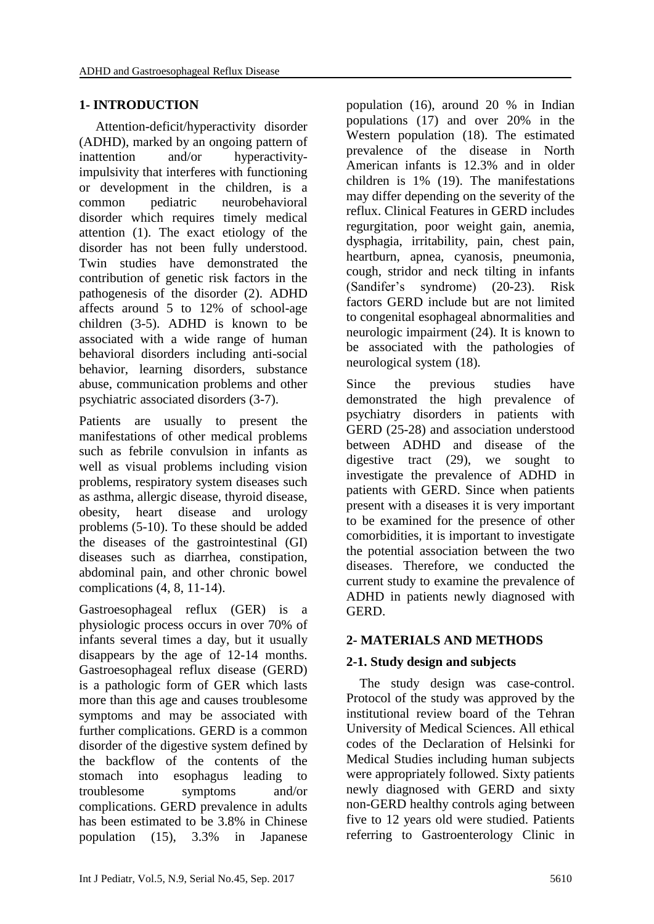# **1- INTRODUCTION**

 Attention-deficit/hyperactivity disorder (ADHD), marked by an ongoing pattern of inattention and/or hyperactivityimpulsivity that interferes with functioning or development in the children, is a common pediatric neurobehavioral disorder which requires timely medical attention (1). The exact etiology of the disorder has not been fully understood. Twin studies have demonstrated the contribution of genetic risk factors in the pathogenesis of the disorder (2). ADHD affects around 5 to 12% of school-age children (3-5). ADHD is known to be associated with a wide range of human behavioral disorders including anti-social behavior, learning disorders, substance abuse, communication problems and other psychiatric associated disorders (3-7).

Patients are usually to present the manifestations of other medical problems such as febrile convulsion in infants as well as visual problems including vision problems, respiratory system diseases such as asthma, allergic disease, thyroid disease, obesity, heart disease and urology problems (5-10). To these should be added the diseases of the gastrointestinal (GI) diseases such as diarrhea, constipation, abdominal pain, and other chronic bowel complications (4, 8, 11-14).

Gastroesophageal reflux (GER) is a physiologic process occurs in over 70% of infants several times a day, but it usually disappears by the age of 12-14 months. Gastroesophageal reflux disease (GERD) is a pathologic form of GER which lasts more than this age and causes troublesome symptoms and may be associated with further complications. GERD is a common disorder of the digestive system defined by the backflow of the contents of the stomach into esophagus leading to troublesome symptoms and/or complications. GERD prevalence in adults has been estimated to be 3.8% in Chinese population (15), 3.3% in Japanese population (16), around 20 % in Indian populations (17) and over 20% in the Western population (18). The estimated prevalence of the disease in North American infants is 12.3% and in older children is 1% (19). The manifestations may differ depending on the severity of the reflux. Clinical Features in GERD includes regurgitation, poor weight gain, anemia, dysphagia, irritability, pain, chest pain, heartburn, apnea, cyanosis, pneumonia, cough, stridor and neck tilting in infants (Sandifer's syndrome) (20-23). Risk factors GERD include but are not limited to congenital esophageal abnormalities and neurologic impairment (24). It is known to be associated with the pathologies of neurological system (18).

Since the previous studies have demonstrated the high prevalence of psychiatry disorders in patients with GERD (25-28) and association understood between ADHD and disease of the digestive tract (29), we sought to investigate the prevalence of ADHD in patients with GERD. Since when patients present with a diseases it is very important to be examined for the presence of other comorbidities, it is important to investigate the potential association between the two diseases. Therefore, we conducted the current study to examine the prevalence of ADHD in patients newly diagnosed with GERD.

# **2- MATERIALS AND METHODS**

# **2-1. Study design and subjects**

 The study design was case-control. Protocol of the study was approved by the institutional review board of the Tehran University of Medical Sciences. All ethical codes of the Declaration of Helsinki for Medical Studies including human subjects were appropriately followed. Sixty patients newly diagnosed with GERD and sixty non-GERD healthy controls aging between five to 12 years old were studied. Patients referring to Gastroenterology Clinic in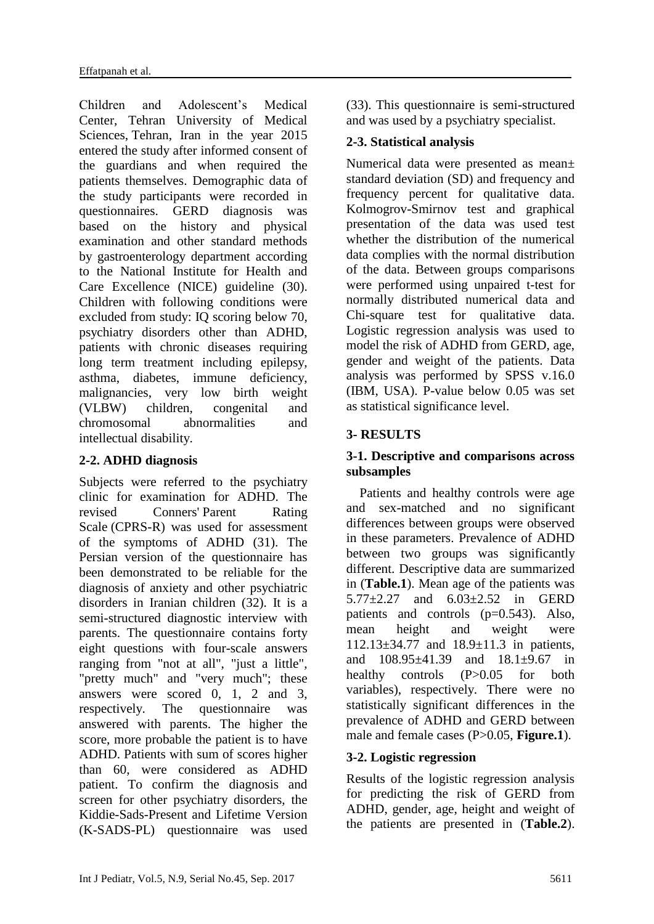Children and Adolescent's Medical Center, Tehran University of Medical Sciences, Tehran, Iran in the year 2015 entered the study after informed consent of the guardians and when required the patients themselves. Demographic data of the study participants were recorded in questionnaires. GERD diagnosis was based on the history and physical examination and other standard methods by gastroenterology department according to the National Institute for Health and Care Excellence (NICE) guideline (30). Children with following conditions were excluded from study: IQ scoring below 70, psychiatry disorders other than ADHD, patients with chronic diseases requiring long term treatment including epilepsy, asthma, diabetes, immune deficiency, malignancies, very low birth weight (VLBW) children, congenital and chromosomal abnormalities and intellectual disability.

### **2-2. ADHD diagnosis**

Subjects were referred to the psychiatry clinic for examination for ADHD. The revised Conners' Parent Rating Scale (CPRS-R) was used for assessment of the symptoms of ADHD (31). The Persian version of the questionnaire has been demonstrated to be reliable for the diagnosis of anxiety and other psychiatric disorders in Iranian children (32). It is a semi-structured diagnostic interview with parents. The questionnaire contains forty eight questions with four-scale answers ranging from "not at all", "just a little", "pretty much" and "very much"; these answers were scored 0, 1, 2 and 3, respectively. The questionnaire was answered with parents. The higher the score, more probable the patient is to have ADHD. Patients with sum of scores higher than 60, were considered as ADHD patient. To confirm the diagnosis and screen for other psychiatry disorders, the Kiddie-Sads-Present and Lifetime Version (K-SADS-PL) questionnaire was used

(33). This questionnaire is semi-structured and was used by a psychiatry specialist.

# **2-3. Statistical analysis**

Numerical data were presented as mean± standard deviation (SD) and frequency and frequency percent for qualitative data. Kolmogrov-Smirnov test and graphical presentation of the data was used test whether the distribution of the numerical data complies with the normal distribution of the data. Between groups comparisons were performed using unpaired t-test for normally distributed numerical data and Chi-square test for qualitative data. Logistic regression analysis was used to model the risk of ADHD from GERD, age, gender and weight of the patients. Data analysis was performed by SPSS v.16.0 (IBM, USA). P-value below 0.05 was set as statistical significance level.

# **3- RESULTS**

### **3-1. Descriptive and comparisons across subsamples**

 Patients and healthy controls were age and sex-matched and no significant differences between groups were observed in these parameters. Prevalence of ADHD between two groups was significantly different. Descriptive data are summarized in (**Table.1**). Mean age of the patients was 5.77±2.27 and 6.03±2.52 in GERD patients and controls (p=0.543). Also, mean height and weight were 112.13±34.77 and 18.9±11.3 in patients, and 108.95±41.39 and 18.1±9.67 in healthy controls (P>0.05 for both variables), respectively. There were no statistically significant differences in the prevalence of ADHD and GERD between male and female cases (P>0.05, **Figure.1**).

# **3-2. Logistic regression**

Results of the logistic regression analysis for predicting the risk of GERD from ADHD, gender, age, height and weight of the patients are presented in (**Table.2**).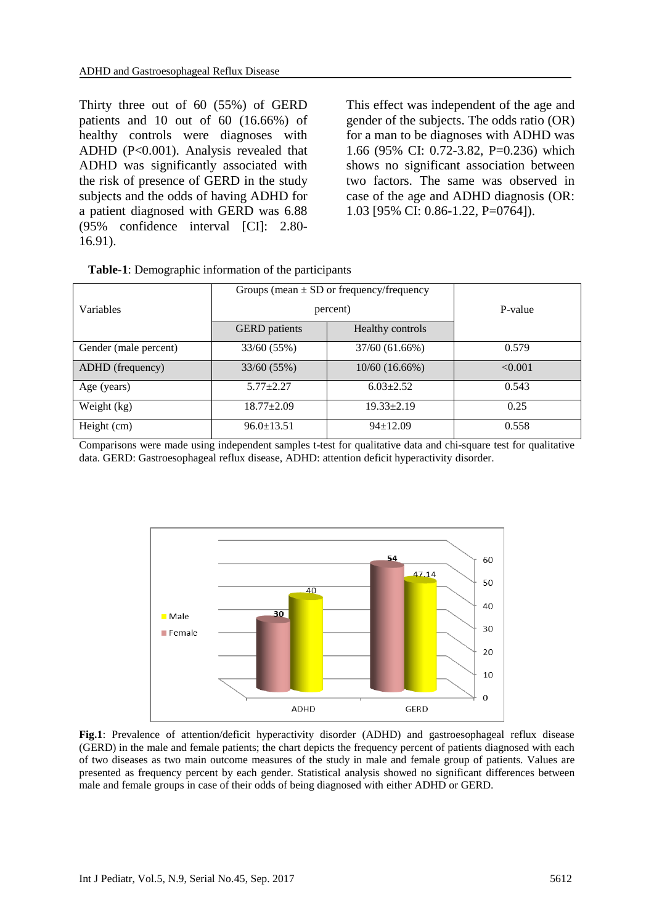Thirty three out of 60 (55%) of GERD patients and 10 out of 60 (16.66%) of healthy controls were diagnoses with ADHD (P<0.001). Analysis revealed that ADHD was significantly associated with the risk of presence of GERD in the study subjects and the odds of having ADHD for a patient diagnosed with GERD was 6.88 (95% confidence interval [CI]: 2.80- 16.91).

This effect was independent of the age and gender of the subjects. The odds ratio (OR) for a man to be diagnoses with ADHD was 1.66 (95% CI: 0.72-3.82, P=0.236) which shows no significant association between two factors. The same was observed in case of the age and ADHD diagnosis (OR: 1.03 [95% CI: 0.86-1.22, P=0764]).

|                       | Groups (mean $\pm$ SD or frequency/frequency |                  |         |
|-----------------------|----------------------------------------------|------------------|---------|
| Variables             | percent)                                     |                  | P-value |
|                       | <b>GERD</b> patients                         | Healthy controls |         |
| Gender (male percent) | 33/60 (55%)                                  | 37/60 (61.66%)   | 0.579   |
| ADHD (frequency)      | 33/60(55%)                                   | $10/60$ (16.66%) | < 0.001 |
| Age (years)           | $5.77 + 2.27$                                | $6.03 \pm 2.52$  | 0.543   |
| Weight (kg)           | $18.77 \pm 2.09$                             | $19.33 \pm 2.19$ | 0.25    |
| Height (cm)           | $96.0 \pm 13.51$                             | $94 \pm 12.09$   | 0.558   |

**Table-1**: Demographic information of the participants

Comparisons were made using independent samples t-test for qualitative data and chi-square test for qualitative data. GERD: Gastroesophageal reflux disease, ADHD: attention deficit hyperactivity disorder.



**Fig.1**: Prevalence of attention/deficit hyperactivity disorder (ADHD) and gastroesophageal reflux disease (GERD) in the male and female patients; the chart depicts the frequency percent of patients diagnosed with each of two diseases as two main outcome measures of the study in male and female group of patients. Values are presented as frequency percent by each gender. Statistical analysis showed no significant differences between male and female groups in case of their odds of being diagnosed with either ADHD or GERD.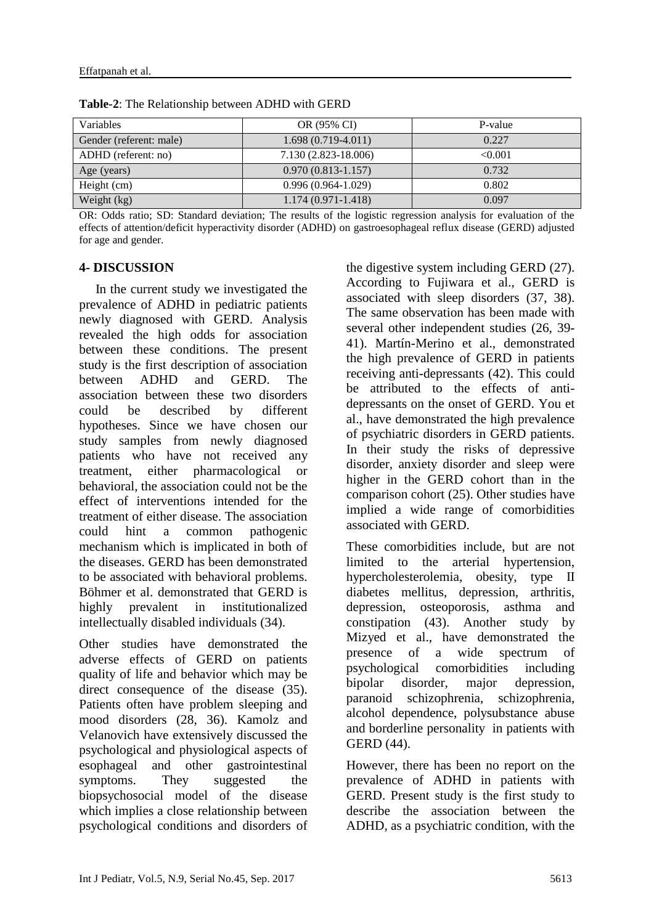| <b>Variables</b>        | OR (95% CI)            | P-value |
|-------------------------|------------------------|---------|
| Gender (referent: male) | $1.698(0.719-4.011)$   | 0.227   |
| ADHD (referent: no)     | 7.130 (2.823-18.006)   | < 0.001 |
| Age (years)             | $0.970(0.813 - 1.157)$ | 0.732   |
| Height (cm)             | $0.996(0.964-1.029)$   | 0.802   |
| Weight (kg)             | $1.174(0.971 - 1.418)$ | 0.097   |

**Table-2**: The Relationship between ADHD with GERD

OR: Odds ratio; SD: Standard deviation; The results of the logistic regression analysis for evaluation of the effects of attention/deficit hyperactivity disorder (ADHD) on gastroesophageal reflux disease (GERD) adjusted for age and gender.

#### **4- DISCUSSION**

 In the current study we investigated the prevalence of ADHD in pediatric patients newly diagnosed with GERD. Analysis revealed the high odds for association between these conditions. The present study is the first description of association between ADHD and GERD. The association between these two disorders could be described by different hypotheses. Since we have chosen our study samples from newly diagnosed patients who have not received any treatment, either pharmacological or behavioral, the association could not be the effect of interventions intended for the treatment of either disease. The association could hint a common pathogenic mechanism which is implicated in both of the diseases. GERD has been demonstrated to be associated with behavioral problems. Böhmer et al. demonstrated that GERD is highly prevalent in institutionalized intellectually disabled individuals (34).

Other studies have demonstrated the adverse effects of GERD on patients quality of life and behavior which may be direct consequence of the disease (35). Patients often have problem sleeping and mood disorders (28, 36). Kamolz and Velanovich have extensively discussed the psychological and physiological aspects of esophageal and other gastrointestinal symptoms. They suggested the biopsychosocial model of the disease which implies a close relationship between psychological conditions and disorders of the digestive system including GERD (27). According to Fujiwara et al., GERD is associated with sleep disorders (37, 38). The same observation has been made with several other independent studies (26, 39- 41). Martín-Merino et al., demonstrated the high prevalence of GERD in patients receiving anti-depressants (42). This could be attributed to the effects of antidepressants on the onset of GERD. You et al., have demonstrated the high prevalence of psychiatric disorders in GERD patients. In their study the risks of depressive disorder, anxiety disorder and sleep were higher in the GERD cohort than in the comparison cohort (25). Other studies have implied a wide range of comorbidities associated with GERD.

These comorbidities include, but are not limited to the arterial hypertension, hypercholesterolemia, obesity, type II diabetes mellitus, depression, arthritis, depression, osteoporosis, asthma and constipation (43). Another study by Mizyed et al., have demonstrated the presence of a wide spectrum of psychological comorbidities including bipolar disorder, major depression, paranoid schizophrenia, schizophrenia, alcohol dependence, polysubstance abuse and borderline personality in patients with GERD (44).

However, there has been no report on the prevalence of ADHD in patients with GERD. Present study is the first study to describe the association between the ADHD, as a psychiatric condition, with the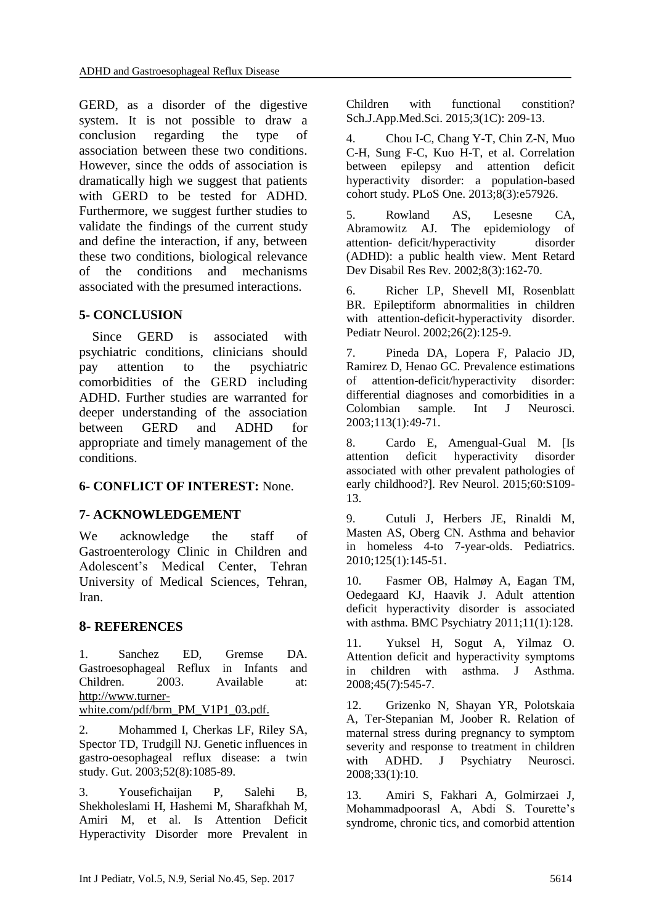GERD, as a disorder of the digestive system. It is not possible to draw a conclusion regarding the type of association between these two conditions. However, since the odds of association is dramatically high we suggest that patients with GERD to be tested for ADHD. Furthermore, we suggest further studies to validate the findings of the current study and define the interaction, if any, between these two conditions, biological relevance of the conditions and mechanisms associated with the presumed interactions.

### **5- CONCLUSION**

 Since GERD is associated with psychiatric conditions, clinicians should pay attention to the psychiatric comorbidities of the GERD including ADHD. Further studies are warranted for deeper understanding of the association between GERD and ADHD for appropriate and timely management of the conditions.

#### **6- CONFLICT OF INTEREST:** None.

#### **7- ACKNOWLEDGEMENT**

We acknowledge the staff of Gastroenterology Clinic in Children and Adolescent's Medical Center, Tehran University of Medical Sciences, Tehran, Iran.

#### **8- REFERENCES**

1. Sanchez ED, Gremse DA. Gastroesophageal Reflux in Infants and Children. 2003. Available at: http://www.turnerwhite.com/pdf/brm\_PM\_V1P1\_03.pdf.

2. Mohammed I, Cherkas LF, Riley SA, Spector TD, Trudgill NJ. Genetic influences in gastro-oesophageal reflux disease: a twin study. Gut. 2003;52(8):1085-89.

3. Yousefichaijan P, Salehi B, Shekholeslami H, Hashemi M, Sharafkhah M, Amiri M, et al. Is Attention Deficit Hyperactivity Disorder more Prevalent in Children with functional constition? Sch.J.App.Med.Sci. 2015;3(1C): 209-13.

4. Chou I-C, Chang Y-T, Chin Z-N, Muo C-H, Sung F-C, Kuo H-T, et al. Correlation between epilepsy and attention deficit hyperactivity disorder: a population-based cohort study. PLoS One. 2013;8(3):e57926.

5. Rowland AS, Lesesne CA, Abramowitz AJ. The epidemiology of attention‐ deficit/hyperactivity disorder (ADHD): a public health view. Ment Retard Dev Disabil Res Rev. 2002;8(3):162-70.

6. Richer LP, Shevell MI, Rosenblatt BR. Epileptiform abnormalities in children with attention-deficit-hyperactivity disorder. Pediatr Neurol. 2002;26(2):125-9.

7. Pineda DA, Lopera F, Palacio JD, Ramirez D, Henao GC. Prevalence estimations of attention-deficit/hyperactivity disorder: differential diagnoses and comorbidities in a Colombian sample. Int J Neurosci. 2003;113(1):49-71.

8. Cardo E, Amengual-Gual M. [Is attention deficit hyperactivity disorder associated with other prevalent pathologies of early childhood?]. Rev Neurol. 2015;60:S109- 13.

9. Cutuli J, Herbers JE, Rinaldi M, Masten AS, Oberg CN. Asthma and behavior in homeless 4-to 7-year-olds. Pediatrics. 2010;125(1):145-51.

10. Fasmer OB, Halmøy A, Eagan TM, Oedegaard KJ, Haavik J. Adult attention deficit hyperactivity disorder is associated with asthma. BMC Psychiatry 2011;11(1):128.

11. Yuksel H, Sogut A, Yilmaz O. Attention deficit and hyperactivity symptoms in children with asthma. J Asthma. 2008;45(7):545-7.

12. Grizenko N, Shayan YR, Polotskaia A, Ter-Stepanian M, Joober R. Relation of maternal stress during pregnancy to symptom severity and response to treatment in children with ADHD. J Psychiatry Neurosci. 2008;33(1):10.

13. Amiri S, Fakhari A, Golmirzaei J, Mohammadpoorasl A, Abdi S. Tourette's syndrome, chronic tics, and comorbid attention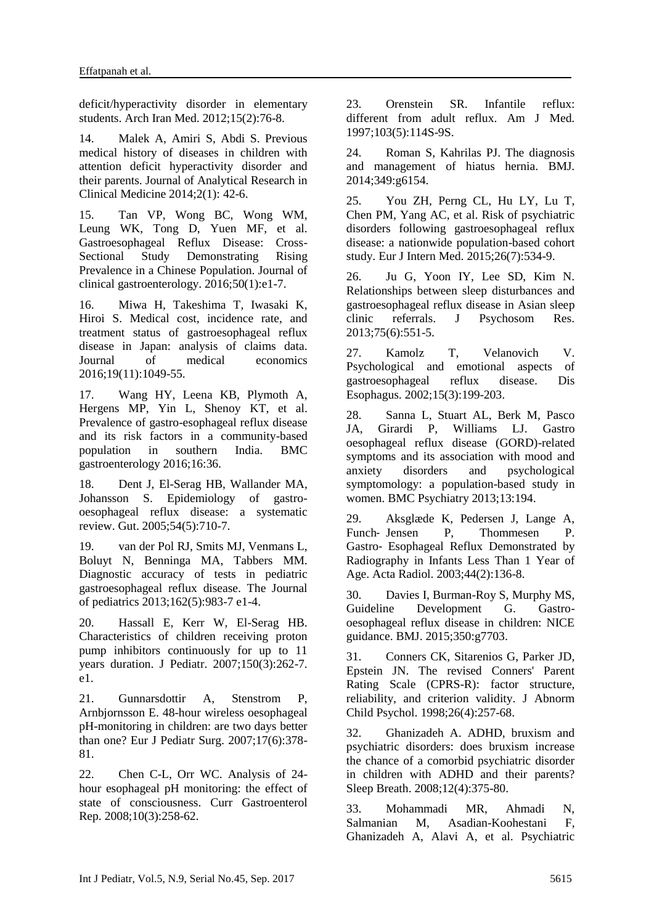deficit/hyperactivity disorder in elementary students. Arch Iran Med. 2012;15(2):76-8.

14. Malek A, Amiri S, Abdi S. Previous medical history of diseases in children with attention deficit hyperactivity disorder and their parents. Journal of Analytical Research in Clinical Medicine 2014;2(1): 42-6.

15. Tan VP, Wong BC, Wong WM, Leung WK, Tong D, Yuen MF, et al. Gastroesophageal Reflux Disease: Cross-Sectional Study Demonstrating Rising Prevalence in a Chinese Population. Journal of clinical gastroenterology. 2016;50(1):e1-7.

16. Miwa H, Takeshima T, Iwasaki K, Hiroi S. Medical cost, incidence rate, and treatment status of gastroesophageal reflux disease in Japan: analysis of claims data. Journal of medical economics 2016;19(11):1049-55.

17. Wang HY, Leena KB, Plymoth A, Hergens MP, Yin L, Shenoy KT, et al. Prevalence of gastro-esophageal reflux disease and its risk factors in a community-based population in southern India. BMC gastroenterology 2016;16:36.

18. Dent J, El-Serag HB, Wallander MA, Johansson S. Epidemiology of gastrooesophageal reflux disease: a systematic review. Gut. 2005;54(5):710-7.

19. van der Pol RJ, Smits MJ, Venmans L, Boluyt N, Benninga MA, Tabbers MM. Diagnostic accuracy of tests in pediatric gastroesophageal reflux disease. The Journal of pediatrics 2013;162(5):983-7 e1-4.

20. Hassall E, Kerr W, El-Serag HB. Characteristics of children receiving proton pump inhibitors continuously for up to 11 years duration. J Pediatr. 2007;150(3):262-7. e1.

21. Gunnarsdottir A, Stenstrom P, Arnbjornsson E. 48-hour wireless oesophageal pH-monitoring in children: are two days better than one? Eur J Pediatr Surg. 2007;17(6):378- 81.

22. Chen C-L, Orr WC. Analysis of 24 hour esophageal pH monitoring: the effect of state of consciousness. Curr Gastroenterol Rep. 2008;10(3):258-62.

23. Orenstein SR. Infantile reflux: different from adult reflux. Am J Med. 1997;103(5):114S-9S.

24. Roman S, Kahrilas PJ. The diagnosis and management of hiatus hernia. BMJ. 2014;349:g6154.

25. You ZH, Perng CL, Hu LY, Lu T, Chen PM, Yang AC, et al. Risk of psychiatric disorders following gastroesophageal reflux disease: a nationwide population-based cohort study. Eur J Intern Med. 2015;26(7):534-9.

26. Ju G, Yoon IY, Lee SD, Kim N. Relationships between sleep disturbances and gastroesophageal reflux disease in Asian sleep clinic referrals. J Psychosom Res. 2013;75(6):551-5.

27. Kamolz T, Velanovich V. Psychological and emotional aspects of gastroesophageal reflux disease. Dis Esophagus. 2002;15(3):199-203.

28. Sanna L, Stuart AL, Berk M, Pasco JA, Girardi P, Williams LJ. Gastro oesophageal reflux disease (GORD)-related symptoms and its association with mood and anxiety disorders and psychological symptomology: a population-based study in women. BMC Psychiatry 2013;13:194.

29. Aksglæde K, Pedersen J, Lange A, Funch-Jensen P, Thommesen P. Gastro‐ Esophageal Reflux Demonstrated by Radiography in Infants Less Than 1 Year of Age. Acta Radiol. 2003;44(2):136-8.

30. Davies I, Burman-Roy S, Murphy MS, Guideline Development G. Gastrooesophageal reflux disease in children: NICE guidance. BMJ. 2015;350:g7703.

31. Conners CK, Sitarenios G, Parker JD, Epstein JN. The revised Conners' Parent Rating Scale (CPRS-R): factor structure, reliability, and criterion validity. J Abnorm Child Psychol. 1998;26(4):257-68.

32. Ghanizadeh A. ADHD, bruxism and psychiatric disorders: does bruxism increase the chance of a comorbid psychiatric disorder in children with ADHD and their parents? Sleep Breath. 2008;12(4):375-80.

33. Mohammadi MR, Ahmadi N, Salmanian M, Asadian-Koohestani F, Ghanizadeh A, Alavi A, et al. Psychiatric